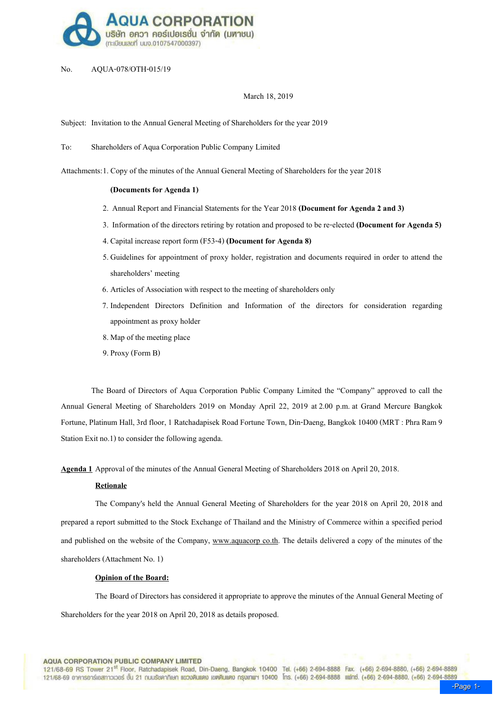

## No. AQUA-078/OTH-015/19

## March 18, 2019

Subject: Invitation to the Annual General Meeting of Shareholders for the year 2019

To: Shareholders of Aqua Corporation Public Company Limited

Attachments: 1. Copy of the minutes of the Annual General Meeting of Shareholders for the year 2018

### (Documents for Agenda 1)

- 2. Annual Report and Financial Statements for the Year 2018 (Document for Agenda 2 and 3)
- 3. Information of the directors retiring by rotation and proposed to be re-elected (Document for Agenda 5)
- 4. Capital increase report form (F53-4) (Document for Agenda 8)
- 5. Guidelines for appointment of proxy holder, registration and documents required in order to attend the shareholders' meeting
- 6. Articles of Association with respect to the meeting of shareholders only
- 7. Independent Directors Definition and Information of the directors for consideration regarding appointment as proxy holder
- 8.Map of the meeting place
- 9.Proxy (Form B)

The Board of Directors of Aqua Corporation Public Company Limited the "Company" approved to call the Annual General Meeting of Shareholders 2019 on Monday April 22, 2019 at 2.00 p.m. at Grand Mercure Bangkok Fortune, Platinum Hall, 3rd floor, 1 Ratchadapisek Road Fortune Town, Din-Daeng, Bangkok 10400 (MRT : Phra Ram 9 Station Exit no.1) to consider the following agenda.

Agenda 1 Approval of the minutes of the Annual General Meeting of Shareholders 2018 on April 20, 2018.

## **Retionale**

 The Company's held the Annual General Meeting of Shareholders for the year 2018 on April 20, 2018 and prepared a report submitted to the Stock Exchange of Thailand and the Ministry of Commerce within a specified period and published on the website of the Company, www.aquacorp co.th. The details delivered a copy of the minutes of the shareholders (Attachment No. 1)

## Opinion of the Board:

The Board of Directors has considered it appropriate to approve the minutes of the Annual General Meeting of Shareholders for the year 2018 on April 20, 2018 as details proposed.

**AQUA CORPORATION PUBLIC COMPANY LIMITED** 

121/68-69 RS Tower 21<sup>st</sup> Floor, Ratchadapisek Road, Din-Daeng, Bangkok 10400 Tel. (+66) 2-694-8888 Fax. (+66) 2-694-8880, (+66) 2-694-8889 121/68-69 อาคารอาร์เอสทาวเวอร์ ชั้น 21 ณนรัชคาภิเษก แขวงดินแดง เขตดินแดง กรุงเกพฯ 10400 โกร. (+66) 2-694-8888 แฟกซ์. (+66) 2-694-8880, (+66) 2-694-8889<br>- Page 1-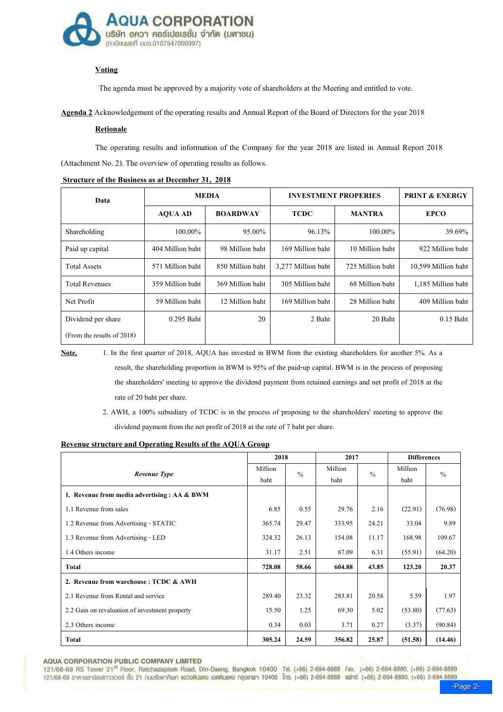

# **Voting**

The agenda must be approved by a majority vote of shareholders at the Meeting and entitled to vote.

Agenda 2 Acknowledgement of the operating results and Annual Report of the Board of Directors for the year 2018

## **Retionale**

 The operating results and information of the Company for the year 2018 are listed in Annual Report 2018 (Attachment No. 2). The overview of operating results as follows.

| <b>MEDIA</b><br>Data       |                  |                  | <b>INVESTMENT PROPERIES</b> | <b>PRINT &amp; ENERGY</b> |                     |
|----------------------------|------------------|------------------|-----------------------------|---------------------------|---------------------|
|                            | <b>AQUA AD</b>   | <b>BOARDWAY</b>  | <b>TCDC</b>                 | <b>MANTRA</b>             | <b>EPCO</b>         |
| Shareholding               | $100.00\%$       | 95.00%           | 96.13%                      | $100.00\%$                | 39.69%              |
| Paid up capital            | 404 Million baht | 98 Million baht  | 169 Million baht            | 10 Million baht           | 922 Million baht    |
| <b>Total Assets</b>        | 571 Million baht | 850 Million baht | 3,277 Million baht          | 725 Million baht          | 10,599 Million baht |
| <b>Total Revenues</b>      | 359 Million baht | 369 Million baht | 305 Million baht            | 68 Million baht           | 1,185 Million baht  |
| Net Profit                 | 59 Million baht  | 12 Million baht  | 169 Million baht            | 28 Million baht           | 409 Million baht    |
| Dividend per share         | $0.295$ Baht     | 20               | 2 Baht                      | 20 Baht                   | $0.15$ Baht         |
| (From the results of 2018) |                  |                  |                             |                           |                     |

#### Structure of the Business as at December 31, 2018

Note. 1. In the first quarter of 2018, AQUA has invested in BWM from the existing shareholders for another 5%. As a result, the shareholding proportion in BWM is 95% of the paid-up capital. BWM is in the process of proposing the shareholders' meeting to approve the dividend payment from retained earnings and net profit of 2018 at the rate of 20 baht per share.

> 2. AWH, a 100% subsidiary of TCDC is in the process of proposing to the shareholders' meeting to approve the dividend payment from the net profit of 2018 at the rate of 7 baht per share.

## Revenue structure and Operating Results of the AQUA Group

|                                                | 2018    |               | 2017    |               | <b>Differences</b> |         |
|------------------------------------------------|---------|---------------|---------|---------------|--------------------|---------|
| Revenue Type                                   | Million | $\frac{0}{0}$ | Million | $\frac{0}{0}$ | Million            | $\%$    |
|                                                | baht    |               | baht    |               | baht               |         |
| 1. Revenue from media advertising : AA & BWM   |         |               |         |               |                    |         |
| 1.1 Revenue from sales                         | 6.85    | 0.55          | 29.76   | 2.16          | (22.91)            | (76.98) |
| 1.2 Revenue from Advertising - STATIC          | 365.74  | 29.47         | 333.95  | 24.21         | 33.04              | 9.89    |
| 1.3 Revenue from Advertising - LED             | 324.32  | 26.13         | 154.08  | 11.17         | 168.98             | 109.67  |
| 1.4 Others income                              | 31.17   | 2.51          | 87.09   | 6.31          | (55.91)            | (64.20) |
| <b>Total</b>                                   | 728.08  | 58.66         | 604.88  | 43.85         | 123.20             | 20.37   |
| 2. Revenue from warehouse: TCDC & AWH          |         |               |         |               |                    |         |
| 2.1 Revenue from Rental and service            | 289.40  | 23.32         | 283.81  | 20.58         | 5.59               | 1.97    |
| 2.2 Gain on revaluation of investment property | 15.50   | 1.25          | 69.30   | 5.02          | (53.80)            | (77.63) |
| 2.3 Others income                              | 0.34    | 0.03          | 3.71    | 0.27          | (3.37)             | (90.84) |
| <b>Total</b>                                   | 305.24  | 24.59         | 356.82  | 25.87         | (51.58)            | (14.46) |

**AQUA CORPORATION PUBLIC COMPANY LIMITED** 

121/68-69 RS Tower 21<sup>st</sup> Floor, Ratchadapisek Road, Din-Daeng, Bangkok 10400 Tel. (+66) 2-694-8888 Fax. (+66) 2-694-8880, (+66) 2-694-8889 121/68-69 อาคารอาร์เอสทาวเวอร์ ชั้น 21 ณนเรียคากิเษก แขวงดินแดง เขตดินแดง กรุงเกพฯ 10400 โกร. (+66) 2-694-8888 แฟกซ์. (+66) 2-694-8880, (+66) 2-694-8889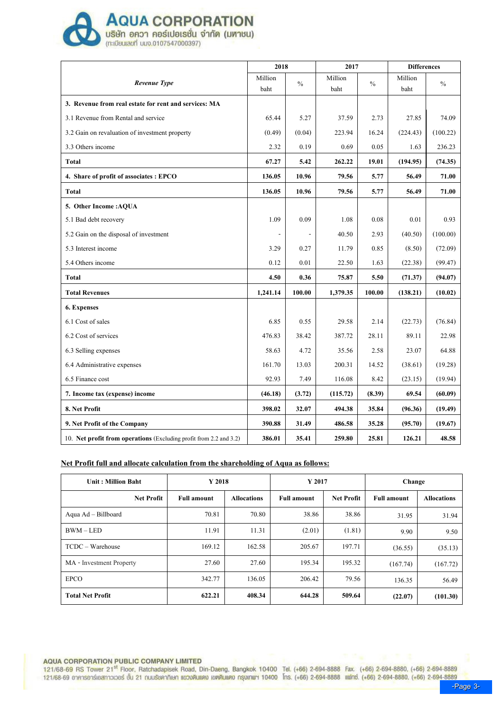

**AQUA CORPORATION** 

|  | <b>ыбвигаий ило.0107547000397)</b> |  |
|--|------------------------------------|--|

|                                                                    | 2018     |               | 2017     |               | <b>Differences</b> |          |
|--------------------------------------------------------------------|----------|---------------|----------|---------------|--------------------|----------|
| Revenue Type                                                       | Million  | $\frac{0}{0}$ | Million  | $\frac{0}{0}$ | Million            | $\%$     |
|                                                                    | baht     |               | baht     |               | baht               |          |
| 3. Revenue from real estate for rent and services: MA              |          |               |          |               |                    |          |
| 3.1 Revenue from Rental and service                                | 65.44    | 5.27          | 37.59    | 2.73          | 27.85              | 74.09    |
| 3.2 Gain on revaluation of investment property                     | (0.49)   | (0.04)        | 223.94   | 16.24         | (224.43)           | (100.22) |
| 3.3 Others income                                                  | 2.32     | 0.19          | 0.69     | 0.05          | 1.63               | 236.23   |
| Total                                                              | 67.27    | 5.42          | 262,22   | 19.01         | (194.95)           | (74.35)  |
| 4. Share of profit of associates : EPCO                            | 136.05   | 10.96         | 79.56    | 5.77          | 56.49              | 71.00    |
| <b>Total</b>                                                       | 136.05   | 10.96         | 79.56    | 5.77          | 56.49              | 71.00    |
| 5. Other Income : AQUA                                             |          |               |          |               |                    |          |
| 5.1 Bad debt recovery                                              | 1.09     | 0.09          | 1.08     | 0.08          | 0.01               | 0.93     |
| 5.2 Gain on the disposal of investment                             |          |               | 40.50    | 2.93          | (40.50)            | (100.00) |
| 5.3 Interest income                                                | 3.29     | 0.27          | 11.79    | 0.85          | (8.50)             | (72.09)  |
| 5.4 Others income                                                  | 0.12     | 0.01          | 22.50    | 1.63          | (22.38)            | (99.47)  |
| Total                                                              | 4.50     | 0.36          | 75.87    | 5.50          | (71.37)            | (94.07)  |
| <b>Total Revenues</b>                                              | 1,241.14 | 100.00        | 1,379.35 | 100.00        | (138.21)           | (10.02)  |
| 6. Expenses                                                        |          |               |          |               |                    |          |
| 6.1 Cost of sales                                                  | 6.85     | 0.55          | 29.58    | 2.14          | (22.73)            | (76.84)  |
| 6.2 Cost of services                                               | 476.83   | 38.42         | 387.72   | 28.11         | 89.11              | 22.98    |
| 6.3 Selling expenses                                               | 58.63    | 4.72          | 35.56    | 2.58          | 23.07              | 64.88    |
| 6.4 Administrative expenses                                        | 161.70   | 13.03         | 200.31   | 14.52         | (38.61)            | (19.28)  |
| 6.5 Finance cost                                                   | 92.93    | 7.49          | 116.08   | 8.42          | (23.15)            | (19.94)  |
| 7. Income tax (expense) income                                     | (46.18)  | (3.72)        | (115.72) | (8.39)        | 69.54              | (60.09)  |
| 8. Net Profit                                                      | 398.02   | 32.07         | 494.38   | 35.84         | (96.36)            | (19.49)  |
| 9. Net Profit of the Company                                       | 390.88   | 31.49         | 486.58   | 35.28         | (95.70)            | (19.67)  |
| 10. Net profit from operations (Excluding profit from 2.2 and 3.2) | 386.01   | 35.41         | 259.80   | 25.81         | 126.21             | 48.58    |

## Net Profit full and allocate calculation from the shareholding of Aqua as follows:

| <b>Unit: Million Baht</b> | $Y$ 2018<br>Y 2017<br>Change |                    |                    |                   |                    |                    |
|---------------------------|------------------------------|--------------------|--------------------|-------------------|--------------------|--------------------|
| <b>Net Profit</b>         | <b>Full amount</b>           | <b>Allocations</b> | <b>Full amount</b> | <b>Net Profit</b> | <b>Full amount</b> | <b>Allocations</b> |
| Aqua Ad - Billboard       | 70.81                        | 70.80              | 38.86              | 38.86             | 31.95              | 31.94              |
| $BWM - LED$               | 11.91                        | 11.31              | (2.01)             | (1.81)            | 9.90               | 9.50               |
| TCDC - Warehouse          | 169.12                       | 162.58             | 205.67             | 197.71            | (36.55)            | (35.13)            |
| MA - Investment Property  | 27.60                        | 27.60              | 195.34             | 195.32            | (167.74)           | (167.72)           |
| <b>EPCO</b>               | 342.77                       | 136.05             | 206.42             | 79.56             | 136.35             | 56.49              |
| <b>Total Net Profit</b>   | 622.21                       | 408.34             | 644.28             | 509.64            | (22.07)            | (101.30)           |

# AQUA CORPORATION PUBLIC COMPANY LIMITED

121/68-69 RS Tower 21<sup>st</sup> Floor, Ratchadapisek Road, Din-Daeng, Bangkok 10400 Tel. (+66) 2-694-8888 Fax. (+66) 2-694-8880, (+66) 2-694-8889<br>121/68-69 อาคารอาร์เอสทาวเวอร์ ชั้น 21 ณนเรียคากิเษก แขวบดินแดง เขตดินแดง กรุงเทพฯ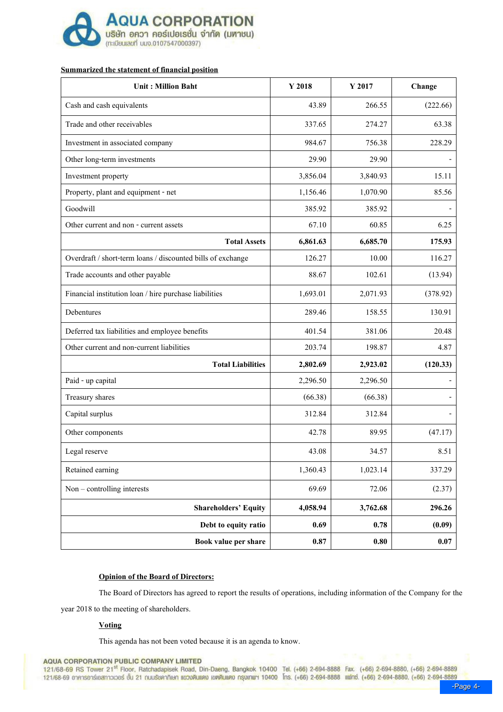

# Summarized the statement of financial position

| <b>Unit: Million Baht</b>                                   | Y 2018   | Y 2017   | Change   |
|-------------------------------------------------------------|----------|----------|----------|
| Cash and cash equivalents                                   | 43.89    | 266.55   | (222.66) |
| Trade and other receivables                                 | 337.65   | 274.27   | 63.38    |
| Investment in associated company                            | 984.67   | 756.38   | 228.29   |
| Other long-term investments                                 | 29.90    | 29.90    |          |
| Investment property                                         | 3,856.04 | 3,840.93 | 15.11    |
| Property, plant and equipment - net                         | 1,156.46 | 1,070.90 | 85.56    |
| Goodwill                                                    | 385.92   | 385.92   |          |
| Other current and non - current assets                      | 67.10    | 60.85    | 6.25     |
| <b>Total Assets</b>                                         | 6,861.63 | 6,685.70 | 175.93   |
| Overdraft / short-term loans / discounted bills of exchange | 126.27   | 10.00    | 116.27   |
| Trade accounts and other payable                            | 88.67    | 102.61   | (13.94)  |
| Financial institution loan / hire purchase liabilities      | 1,693.01 | 2,071.93 | (378.92) |
| Debentures                                                  | 289.46   | 158.55   | 130.91   |
| Deferred tax liabilities and employee benefits              | 401.54   | 381.06   | 20.48    |
| Other current and non-current liabilities                   | 203.74   | 198.87   | 4.87     |
| <b>Total Liabilities</b>                                    | 2,802.69 | 2,923.02 | (120.33) |
| Paid - up capital                                           | 2,296.50 | 2,296.50 |          |
| Treasury shares                                             | (66.38)  | (66.38)  |          |
| Capital surplus                                             | 312.84   | 312.84   |          |
| Other components                                            | 42.78    | 89.95    | (47.17)  |
| Legal reserve                                               | 43.08    | 34.57    | 8.51     |
| Retained earning                                            | 1,360.43 | 1,023.14 | 337.29   |
| $Non$ – controlling interests                               | 69.69    | 72.06    | (2.37)   |
| <b>Shareholders' Equity</b>                                 | 4,058.94 | 3,762.68 | 296.26   |
| Debt to equity ratio                                        | 0.69     | 0.78     | (0.09)   |
| Book value per share                                        | 0.87     | 0.80     | 0.07     |

## Opinion of the Board of Directors:

The Board of Directors has agreed to report the results of operations, including information of the Company for the

year 2018 to the meeting of shareholders.

## **Voting**

This agenda has not been voted because it is an agenda to know.

**AQUA CORPORATION PUBLIC COMPANY LIMITED** 

121/68-69 RS Tower 21<sup>st</sup> Floor, Ratchadapisek Road, Din-Daeng, Bangkok 10400 Tel. (+66) 2-694-8888 Fax. (+66) 2-694-8880, (+66) 2-694-8889 121/68-69 อาคารอาร์เอสทาวเวอร์ ชั้น 21 ณนเรียคากิเษก แขวบดินแดง แขคดินแดง กรุงเกพฯ 10400 โกร. (+66) 2-694-8888 แฟกซ์. (+66) 2-694-8880. (+66) 2-694-8880 (+66) 2-694-8889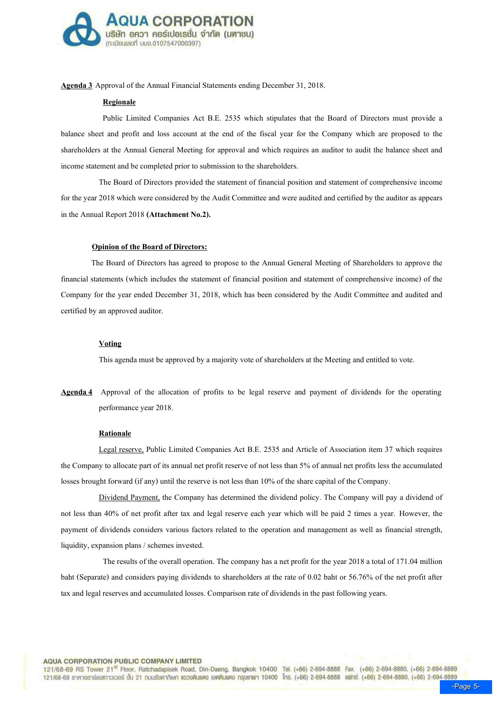

Agenda 3 Approval of the Annual Financial Statements ending December 31, 2018.

#### Regionale

 Public Limited Companies Act B.E. 2535 which stipulates that the Board of Directors must provide a balance sheet and profit and loss account at the end of the fiscal year for the Company which are proposed to the shareholders at the Annual General Meeting for approval and which requires an auditor to audit the balance sheet and income statement and be completed prior to submission to the shareholders.

The Board of Directors provided the statement of financial position and statement of comprehensive income for the year 2018 which were considered by the Audit Committee and were audited and certified by the auditor as appears in the Annual Report 2018 (Attachment No.2).

#### Opinion of the Board of Directors:

 The Board of Directors has agreed to propose to the Annual General Meeting of Shareholders to approve the financial statements (which includes the statement of financial position and statement of comprehensive income) of the Company for the year ended December 31, 2018, which has been considered by the Audit Committee and audited and certified by an approved auditor.

#### **Voting**

This agenda must be approved by a majority vote of shareholders at the Meeting and entitled to vote.

Agenda 4 Approval of the allocation of profits to be legal reserve and payment of dividends for the operating performance year 2018.

#### Rationale

Legal reserve, Public Limited Companies Act B.E. 2535 and Article of Association item 37 which requires the Company to allocate part of its annual net profit reserve of not less than 5% of annual net profits less the accumulated losses brought forward (if any) until the reserve is not less than 10% of the share capital of the Company.

Dividend Payment, the Company has determined the dividend policy. The Company will pay a dividend of not less than 40% of net profit after tax and legal reserve each year which will be paid 2 times a year. However, the payment of dividends considers various factors related to the operation and management as well as financial strength, liquidity, expansion plans / schemes invested.

The results of the overall operation. The company has a net profit for the year 2018 a total of 171.04 million baht (Separate) and considers paying dividends to shareholders at the rate of 0.02 baht or 56.76% of the net profit after tax and legal reserves and accumulated losses. Comparison rate of dividends in the past following years.

**AQUA CORPORATION PUBLIC COMPANY LIMITED** 

121/68-69 RS Tower 21<sup>st</sup> Floor, Ratchadapisek Road, Din-Daeng, Bangkok 10400 Tel. (+66) 2-694-8888 Fax. (+66) 2-694-8880, (+66) 2-694-8889 121/68-69 อาคารอาร์เอสทาวเวอร์ ชั้น 21 ณนเรียคากิเษก แขวงดินแดง เขตดินแดง กรุงเกพฯ 10400 โกร. (+66) 2-694-8888 แฟกซ์. (+66) 2-694-8880. (+66) 2-694-8889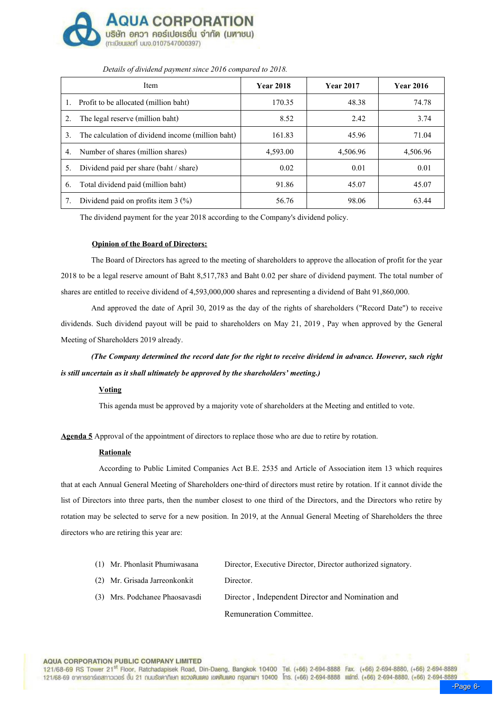

|    | Item                                              | <b>Year 2018</b> | <b>Year 2017</b> | <b>Year 2016</b> |
|----|---------------------------------------------------|------------------|------------------|------------------|
| l. | Profit to be allocated (million baht)             | 170.35           | 48.38            | 74.78            |
| 2. | The legal reserve (million baht)                  | 8.52             | 2.42             | 3.74             |
| 3. | The calculation of dividend income (million baht) | 161.83           | 45.96            | 71.04            |
| 4. | Number of shares (million shares)                 | 4,593.00         | 4,506.96         | 4,506.96         |
| 5. | Dividend paid per share (baht / share)            | 0.02             | 0.01             | 0.01             |
| 6. | Total dividend paid (million baht)                | 91.86            | 45.07            | 45.07            |
| 7. | Dividend paid on profits item $3 \frac{(\%)}{6}$  | 56.76            | 98.06            | 63.44            |

## Details of dividend payment since 2016 compared to 2018.

The dividend payment for the year 2018 according to the Company's dividend policy.

### Opinion of the Board of Directors:

The Board of Directors has agreed to the meeting of shareholders to approve the allocation of profit for the year 2018 to be a legal reserve amount of Baht 8,517,783 and Baht 0.02 per share of dividend payment. The total number of shares are entitled to receive dividend of 4,593,000,000 shares and representing a dividend of Baht 91,860,000.

And approved the date of April 30, 2019 as the day of the rights of shareholders ("Record Date") to receive dividends. Such dividend payout will be paid to shareholders on May 21, 2019 , Pay when approved by the General Meeting of Shareholders 2019 already.

(The Company determined the record date for the right to receive dividend in advance. However, such right is still uncertain as it shall ultimately be approved by the shareholders' meeting.)

## **Voting**

This agenda must be approved by a majority vote of shareholders at the Meeting and entitled to vote.

Agenda 5 Approval of the appointment of directors to replace those who are due to retire by rotation.

#### Rationale

According to Public Limited Companies Act B.E. 2535 and Article of Association item 13 which requires that at each Annual General Meeting of Shareholders one-third of directors must retire by rotation. If it cannot divide the list of Directors into three parts, then the number closest to one third of the Directors, and the Directors who retire by rotation may be selected to serve for a new position. In 2019, at the Annual General Meeting of Shareholders the three directors who are retiring this year are:

| (1) Mr. Phonlasit Phumiwasana  | Director, Executive Director, Director authorized signatory. |
|--------------------------------|--------------------------------------------------------------|
| (2) Mr. Grisada Jarreonkonkit  | Director.                                                    |
| (3) Mrs. Podchanee Phaosavasdi | Director, Independent Director and Nomination and            |
|                                | Remuneration Committee.                                      |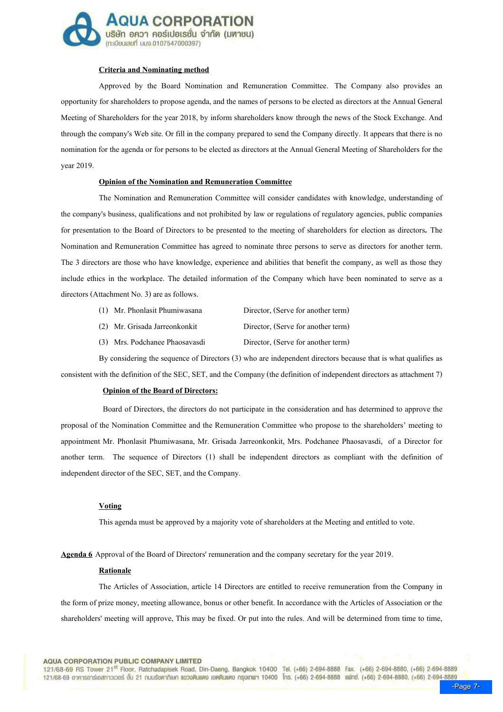

### Criteria and Nominating method

Approved by the Board Nomination and Remuneration Committee. The Company also provides an opportunity for shareholders to propose agenda, and the names of persons to be elected as directors at the Annual General Meeting of Shareholders for the year 2018, by inform shareholders know through the news of the Stock Exchange. And through the company's Web site. Or fill in the company prepared to send the Company directly. It appears that there is no nomination for the agenda or for persons to be elected as directors at the Annual General Meeting of Shareholders for the year 2019.

## Opinion of the Nomination and Remuneration Committee

The Nomination and Remuneration Committee will consider candidates with knowledge, understanding of the company's business, qualifications and not prohibited by law or regulations of regulatory agencies, public companies for presentation to the Board of Directors to be presented to the meeting of shareholders for election as directors. The Nomination and Remuneration Committee has agreed to nominate three persons to serve as directors for another term. The 3 directors are those who have knowledge, experience and abilities that benefit the company, as well as those they include ethics in the workplace. The detailed information of the Company which have been nominated to serve as a directors (Attachment No. 3) are as follows.

- (1) Mr. Phonlasit Phumiwasana Director, (Serve for another term)
- (2) Mr. Grisada Jarreonkonkit Director, (Serve for another term)
- (3) Mrs. Podchanee Phaosavasdi Director, (Serve for another term)

 By considering the sequence of Directors (3) who are independent directors because that is what qualifies as consistent with the definition of the SEC, SET, and the Company (the definition of independent directors as attachment 7)

#### Opinion of the Board of Directors:

Board of Directors, the directors do not participate in the consideration and has determined to approve the proposal of the Nomination Committee and the Remuneration Committee who propose to the shareholders' meeting to appointment Mr. Phonlasit Phumiwasana, Mr. Grisada Jarreonkonkit, Mrs. Podchanee Phaosavasdi, of a Director for another term. The sequence of Directors (1) shall be independent directors as compliant with the definition of independent director of the SEC, SET, and the Company.

## Voting

This agenda must be approved by a majority vote of shareholders at the Meeting and entitled to vote.

Agenda 6 Approval of the Board of Directors' remuneration and the company secretary for the year 2019.

#### **Rationale**

The Articles of Association, article 14 Directors are entitled to receive remuneration from the Company in the form of prize money, meeting allowance, bonus or other benefit. In accordance with the Articles of Association or the shareholders' meeting will approve, This may be fixed. Or put into the rules. And will be determined from time to time,

**AQUA CORPORATION PUBLIC COMPANY LIMITED** 

121/68-69 RS Tower 21<sup>st</sup> Floor, Ratchadapisek Road, Din-Daeng, Bangkok 10400 Tel. (+66) 2-694-8888 Fax. (+66) 2-694-8880, (+66) 2-694-8889 121/68-69 อาคารอาร์เอสทาวเวอร์ ชั้น 21 ณนเรียคากิเษก แขวงดินแดง เขตดินแดง กรุงเกพฯ 10400 โกร. (+66) 2-694-8888 แฟกซ์. (+66) 2-694-8880, (+66) 2-694-8889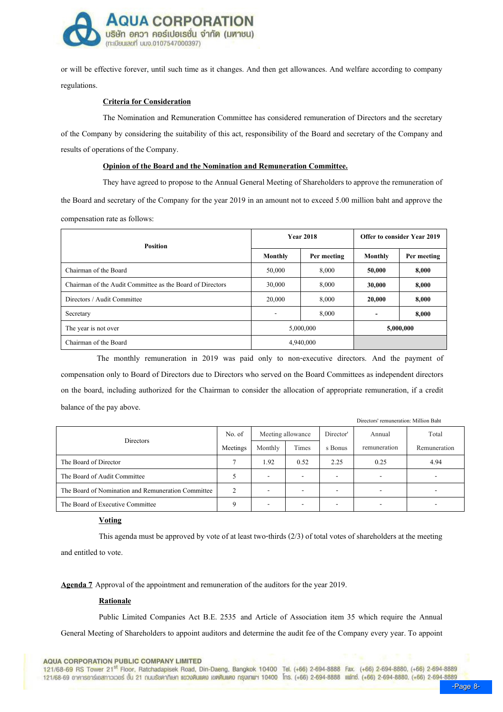

or will be effective forever, until such time as it changes. And then get allowances. And welfare according to company regulations.

### Criteria for Consideration

The Nomination and Remuneration Committee has considered remuneration of Directors and the secretary of the Company by considering the suitability of this act, responsibility of the Board and secretary of the Company and results of operations of the Company.

## Opinion of the Board and the Nomination and Remuneration Committee.

 They have agreed to propose to the Annual General Meeting of Shareholders to approve the remuneration of the Board and secretary of the Company for the year 2019 in an amount not to exceed 5.00 million baht and approve the compensation rate as follows:

| <b>Position</b>                                           |         | <b>Year 2018</b> | Offer to consider Year 2019 |             |  |
|-----------------------------------------------------------|---------|------------------|-----------------------------|-------------|--|
|                                                           | Monthly | Per meeting      | Monthly                     | Per meeting |  |
| Chairman of the Board                                     | 50,000  | 8,000            | 50,000                      | 8,000       |  |
| Chairman of the Audit Committee as the Board of Directors | 30,000  | 8.000            | 30,000                      | 8,000       |  |
| Directors / Audit Committee                               | 20,000  | 8,000            | 20,000                      | 8,000       |  |
| Secretary                                                 |         | 8,000            |                             | 8,000       |  |
| The year is not over                                      |         | 5,000,000        |                             | 5,000,000   |  |
| Chairman of the Board                                     |         | 4,940,000        |                             |             |  |

 The monthly remuneration in 2019 was paid only to non-executive directors. And the payment of compensation only to Board of Directors due to Directors who served on the Board Committees as independent directors on the board, including authorized for the Chairman to consider the allocation of appropriate remuneration, if a credit balance of the pay above.

| Directors                                          | No. of   | Meeting allowance |       | Director'                | Annual                   | Total        |
|----------------------------------------------------|----------|-------------------|-------|--------------------------|--------------------------|--------------|
|                                                    | Meetings | Monthly           | Times | s Bonus                  | remuneration             | Remuneration |
| The Board of Director                              |          | 1.92              | 0.52  | 2.25                     | 0.25                     | 4.94         |
| The Board of Audit Committee                       |          |                   | -     | $\overline{\phantom{0}}$ | $\overline{\phantom{0}}$ |              |
| The Board of Nomination and Remuneration Committee |          |                   |       | -                        | $\overline{\phantom{0}}$ |              |
| The Board of Executive Committee                   |          |                   |       | -                        | $\overline{\phantom{0}}$ |              |

#### **Voting**

This agenda must be approved by vote of at least two-thirds (2/3) of total votes of shareholders at the meeting and entitled to vote.

Agenda 7 Approval of the appointment and remuneration of the auditors for the year 2019.

#### Rationale

Public Limited Companies Act B.E. 2535 and Article of Association item 35 which require the Annual General Meeting of Shareholders to appoint auditors and determine the audit fee of the Company every year. To appoint

121/68-69 RS Tower 21<sup>st</sup> Floor, Ratchadapisek Road, Din-Daeng, Bangkok 10400 Tel. (+66) 2-694-8888 Fax. (+66) 2-694-8880, (+66) 2-694-8889 121/68-69 อาคารอาร์เอสทาวเวอร์ ชั้น 21 ณนเรียคากิเษก แขวงดินแดง เขตดินแดง กรุงเกพฯ 10400 โกร. (+66) 2-694-8888 แฟกซ์. (+66) 2-694-8880. (+66) 2-694-8889

Directors' remuneration: Million Baht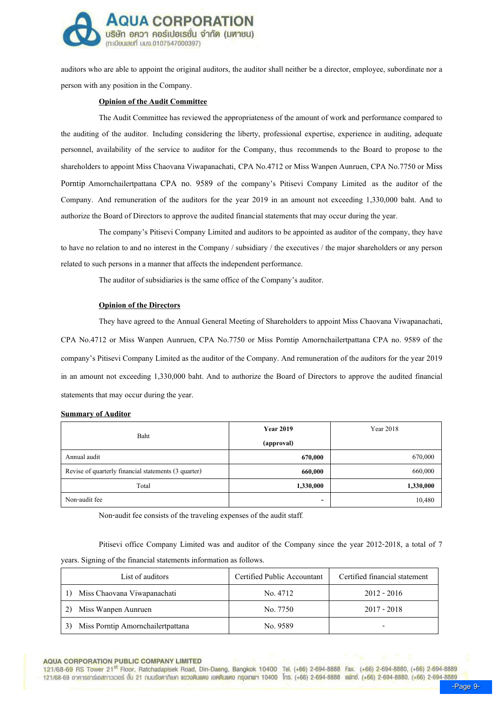

auditors who are able to appoint the original auditors, the auditor shall neither be a director, employee, subordinate nor a person with any position in the Company.

#### Opinion of the Audit Committee

The Audit Committee has reviewed the appropriateness of the amount of work and performance compared to the auditing of the auditor. Including considering the liberty, professional expertise, experience in auditing, adequate personnel, availability of the service to auditor for the Company, thus recommends to the Board to propose to the shareholders to appoint Miss Chaovana Viwapanachati, CPA No.4712 or Miss Wanpen Aunruen, CPA No.7750 or Miss Porntip Amornchailertpattana CPA no. 9589 of the company's Pitisevi Company Limited as the auditor of the Company. And remuneration of the auditors for the year 2019 in an amount not exceeding 1,330,000 baht. And to authorize the Board of Directors to approve the audited financial statements that may occur during the year.

The company:s Pitisevi Company Limited and auditors to be appointed as auditor of the company, they have to have no relation to and no interest in the Company / subsidiary / the executives / the major shareholders or any person related to such persons in a manner that affects the independent performance.

The auditor of subsidiaries is the same office of the Company's auditor.

#### Opinion of the Directors

They have agreed to the Annual General Meeting of Shareholders to appoint Miss Chaovana Viwapanachati, CPA No.4712 or Miss Wanpen Aunruen, CPA No.7750 or Miss Porntip Amornchailertpattana CPA no. 9589 of the company:s Pitisevi Company Limited as the auditor of the Company. And remuneration of the auditors for the year 2019 in an amount not exceeding 1,330,000 baht. And to authorize the Board of Directors to approve the audited financial statements that may occur during the year.

#### Summary of Auditor

| Baht                                                 | <b>Year 2019</b> | Year 2018 |
|------------------------------------------------------|------------------|-----------|
|                                                      | (approval)       |           |
| Annual audit                                         | 670,000          | 670,000   |
| Revise of quarterly financial statements (3 quarter) | 660,000          | 660,000   |
| Total                                                | 1,330,000        | 1,330,000 |
| Non-audit fee                                        | -                | 10,480    |

Non-audit fee consists of the traveling expenses of the audit staff.

Pitisevi office Company Limited was and auditor of the Company since the year 2012-2018, a total of 7 years. Signing of the financial statements information as follows.

| List of auditors                        | Certified Public Accountant | Certified financial statement |
|-----------------------------------------|-----------------------------|-------------------------------|
| Miss Chaovana Viwapanachati             | No. 4712                    | $2012 - 2016$                 |
| Miss Wanpen Aunruen                     | No. 7750                    | $2017 - 2018$                 |
| Miss Porntip Amornchailertpattana<br>3) | No. 9589                    | -                             |

#### **AQUA CORPORATION PUBLIC COMPANY LIMITED**

121/68-69 RS Tower 21<sup>st</sup> Floor, Ratchadapisek Road, Din-Daeng, Bangkok 10400 Tel. (+66) 2-694-8888 Fax. (+66) 2-694-8880, (+66) 2-694-8889 121/68-69 อาคารอาร์เอสทาวเวอร์ ชั้น 21 ณนเรียคากิเษก แขวงดินแดง เขตดินแดง กรุงเกพฯ 10400 โกร. (+66) 2-694-8888 แฟกซ์. (+66) 2-694-8880. (+66) 2-694-8889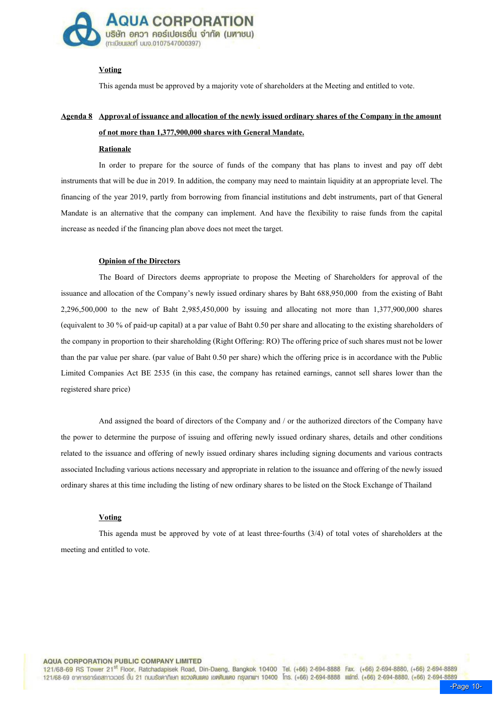

## **Voting**

This agenda must be approved by a majority vote of shareholders at the Meeting and entitled to vote.

# Agenda 8 Approval of issuance and allocation of the newly issued ordinary shares of the Company in the amount of not more than 1,377,900,000 shares with General Mandate.

#### **Rationale**

In order to prepare for the source of funds of the company that has plans to invest and pay off debt instruments that will be due in 2019. In addition, the company may need to maintain liquidity at an appropriate level. The financing of the year 2019, partly from borrowing from financial institutions and debt instruments, part of that General Mandate is an alternative that the company can implement. And have the flexibility to raise funds from the capital increase as needed if the financing plan above does not meet the target.

#### Opinion of the Directors

The Board of Directors deems appropriate to propose the Meeting of Shareholders for approval of the issuance and allocation of the Company's newly issued ordinary shares by Baht 688,950,000 from the existing of Baht 2,296,500,000 to the new of Baht 2,985,450,000 by issuing and allocating not more than 1,377,900,000 shares (equivalent to 30 % of paid-up capital) at a par value of Baht 0.50 per share and allocating to the existing shareholders of the company in proportion to their shareholding (Right Offering: RO) The offering price of such shares must not be lower than the par value per share. (par value of Baht 0.50 per share) which the offering price is in accordance with the Public Limited Companies Act BE 2535 (in this case, the company has retained earnings, cannot sell shares lower than the registered share price)

And assigned the board of directors of the Company and / or the authorized directors of the Company have the power to determine the purpose of issuing and offering newly issued ordinary shares, details and other conditions related to the issuance and offering of newly issued ordinary shares including signing documents and various contracts associated Including various actions necessary and appropriate in relation to the issuance and offering of the newly issued ordinary shares at this time including the listing of new ordinary shares to be listed on the Stock Exchange of Thailand

#### Voting

This agenda must be approved by vote of at least three-fourths (3/4) of total votes of shareholders at the meeting and entitled to vote.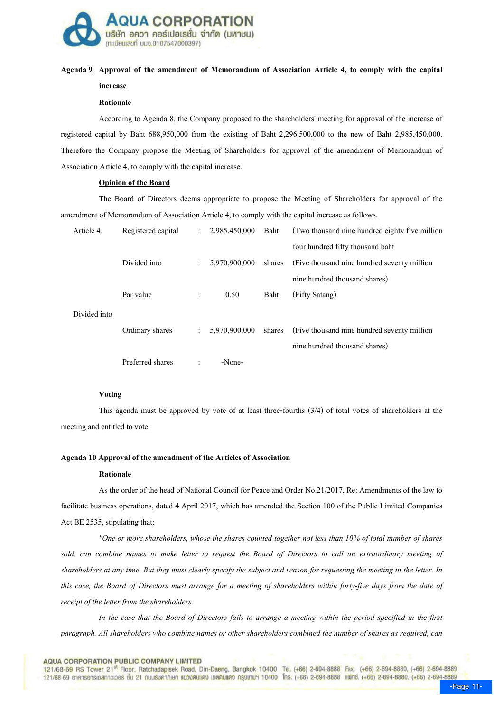

# Agenda 9 Approval of the amendment of Memorandum of Association Article 4, to comply with the capital increase

### Rationale

According to Agenda 8, the Company proposed to the shareholders' meeting for approval of the increase of registered capital by Baht 688,950,000 from the existing of Baht 2,296,500,000 to the new of Baht 2,985,450,000. Therefore the Company propose the Meeting of Shareholders for approval of the amendment of Memorandum of Association Article 4, to comply with the capital increase.

## Opinion of the Board

The Board of Directors deems appropriate to propose the Meeting of Shareholders for approval of the amendment of Memorandum of Association Article 4, to comply with the capital increase as follows.

| Article 4.   | Registered capital | $\ddot{\phantom{a}}$ | 2,985,450,000 | Baht   | (Two thousand nine hundred eighty five million) |
|--------------|--------------------|----------------------|---------------|--------|-------------------------------------------------|
|              |                    |                      |               |        | four hundred fifty thousand baht                |
|              | Divided into       | $\ddot{\phantom{a}}$ | 5,970,900,000 | shares | (Five thousand nine hundred seventy million)    |
|              |                    |                      |               |        | nine hundred thousand shares)                   |
|              | Par value          | $\ddot{\phantom{a}}$ | 0.50          | Baht   | (Fifty Satang)                                  |
| Divided into |                    |                      |               |        |                                                 |
|              | Ordinary shares    | $\ddot{\phantom{a}}$ | 5,970,900,000 | shares | (Five thousand nine hundred seventy million)    |
|              |                    |                      |               |        | nine hundred thousand shares)                   |
|              | Preferred shares   | $\ddot{\cdot}$       | -None-        |        |                                                 |

## Voting

This agenda must be approved by vote of at least three-fourths (3/4) of total votes of shareholders at the meeting and entitled to vote.

## Agenda 10 Approval of the amendment of the Articles of Association

#### **Rationale**

As the order of the head of National Council for Peace and Order No.21/2017, Re: Amendments of the law to facilitate business operations, dated 4 April 2017, which has amended the Section 100 of the Public Limited Companies Act BE 2535, stipulating that;

"One or more shareholders, whose the shares counted together not less than 10% of total number of shares sold, can combine names to make letter to request the Board of Directors to call an extraordinary meeting of shareholders at any time. But they must clearly specify the subject and reason for requesting the meeting in the letter. In this case, the Board of Directors must arrange for a meeting of shareholders within forty-five days from the date of receipt of the letter from the shareholders.

In the case that the Board of Directors fails to arrange a meeting within the period specified in the first paragraph. All shareholders who combine names or other shareholders combined the number of shares as required, can

#### **AQUA CORPORATION PUBLIC COMPANY LIMITED**

121/68-69 RS Tower 21<sup>st</sup> Floor, Ratchadapisek Road, Din-Daeng, Bangkok 10400 Tel. (+66) 2-694-8888 Fax. (+66) 2-694-8880, (+66) 2-694-8889 121/68-69 อาคารอาร์เอสทาวเวอร์ ชั้น 21 ณนรัชคาภิเษก แขวงดินแดง เขตดินแดง กรุงเกพฯ 10400 โกร. (+66) 2-694-8888 แฟกซ์. (+66) 2-694-8880. (+66) 2-694-8889 **[**<br>Page 11-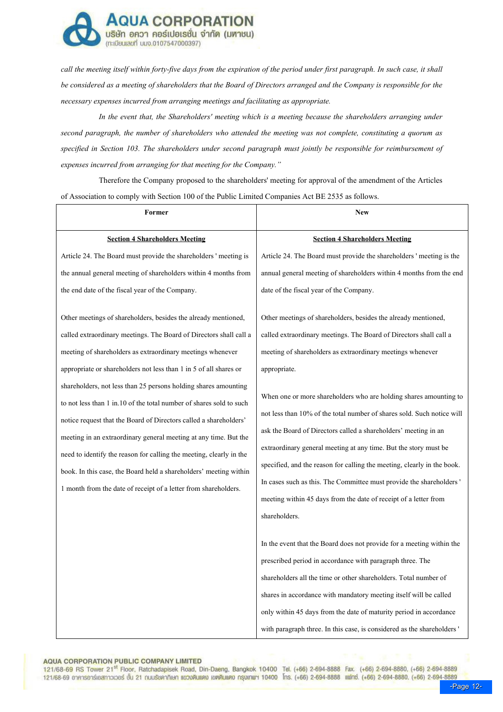

call the meeting itself within forty-five days from the expiration of the period under first paragraph. In such case, it shall be considered as a meeting of shareholders that the Board of Directors arranged and the Company is responsible for the necessary expenses incurred from arranging meetings and facilitating as appropriate.

In the event that, the Shareholders' meeting which is a meeting because the shareholders arranging under second paragraph, the number of shareholders who attended the meeting was not complete, constituting a quorum as specified in Section 103. The shareholders under second paragraph must jointly be responsible for reimbursement of expenses incurred from arranging for that meeting for the Company."

Therefore the Company proposed to the shareholders' meeting for approval of the amendment of the Articles of Association to comply with Section 100 of the Public Limited Companies Act BE 2535 as follows.

| Former                                                                                                                                                                                                                                                                                                                                                                                                                                                                                         | <b>New</b>                                                                                                                                                                                                                                                                                                                                                                                                                                                                                                                |  |  |
|------------------------------------------------------------------------------------------------------------------------------------------------------------------------------------------------------------------------------------------------------------------------------------------------------------------------------------------------------------------------------------------------------------------------------------------------------------------------------------------------|---------------------------------------------------------------------------------------------------------------------------------------------------------------------------------------------------------------------------------------------------------------------------------------------------------------------------------------------------------------------------------------------------------------------------------------------------------------------------------------------------------------------------|--|--|
| <b>Section 4 Shareholders Meeting</b>                                                                                                                                                                                                                                                                                                                                                                                                                                                          | <b>Section 4 Shareholders Meeting</b>                                                                                                                                                                                                                                                                                                                                                                                                                                                                                     |  |  |
| Article 24. The Board must provide the shareholders ' meeting is                                                                                                                                                                                                                                                                                                                                                                                                                               | Article 24. The Board must provide the shareholders' meeting is the                                                                                                                                                                                                                                                                                                                                                                                                                                                       |  |  |
| the annual general meeting of shareholders within 4 months from<br>the end date of the fiscal year of the Company.                                                                                                                                                                                                                                                                                                                                                                             | annual general meeting of shareholders within 4 months from the end<br>date of the fiscal year of the Company.                                                                                                                                                                                                                                                                                                                                                                                                            |  |  |
| Other meetings of shareholders, besides the already mentioned,                                                                                                                                                                                                                                                                                                                                                                                                                                 | Other meetings of shareholders, besides the already mentioned,                                                                                                                                                                                                                                                                                                                                                                                                                                                            |  |  |
| called extraordinary meetings. The Board of Directors shall call a                                                                                                                                                                                                                                                                                                                                                                                                                             | called extraordinary meetings. The Board of Directors shall call a<br>meeting of shareholders as extraordinary meetings whenever<br>appropriate.                                                                                                                                                                                                                                                                                                                                                                          |  |  |
| meeting of shareholders as extraordinary meetings whenever                                                                                                                                                                                                                                                                                                                                                                                                                                     |                                                                                                                                                                                                                                                                                                                                                                                                                                                                                                                           |  |  |
| appropriate or shareholders not less than 1 in 5 of all shares or                                                                                                                                                                                                                                                                                                                                                                                                                              |                                                                                                                                                                                                                                                                                                                                                                                                                                                                                                                           |  |  |
| shareholders, not less than 25 persons holding shares amounting<br>to not less than 1 in.10 of the total number of shares sold to such<br>notice request that the Board of Directors called a shareholders'<br>meeting in an extraordinary general meeting at any time. But the<br>need to identify the reason for calling the meeting, clearly in the<br>book. In this case, the Board held a shareholders' meeting within<br>1 month from the date of receipt of a letter from shareholders. | When one or more shareholders who are holding shares amounting to<br>not less than 10% of the total number of shares sold. Such notice will<br>ask the Board of Directors called a shareholders' meeting in an<br>extraordinary general meeting at any time. But the story must be<br>specified, and the reason for calling the meeting, clearly in the book.<br>In cases such as this. The Committee must provide the shareholders'<br>meeting within 45 days from the date of receipt of a letter from<br>shareholders. |  |  |
|                                                                                                                                                                                                                                                                                                                                                                                                                                                                                                | In the event that the Board does not provide for a meeting within the<br>prescribed period in accordance with paragraph three. The<br>shareholders all the time or other shareholders. Total number of<br>shares in accordance with mandatory meeting itself will be called<br>only within 45 days from the date of maturity period in accordance<br>with paragraph three. In this case, is considered as the shareholders'                                                                                               |  |  |

#### **AQUA CORPORATION PUBLIC COMPANY LIMITED**

121/68-69 RS Tower 21<sup>st</sup> Floor, Ratchadapisek Road, Din-Daeng, Bangkok 10400 Tel. (+66) 2-694-8888 Fax. (+66) 2-694-8880, (+66) 2-694-8880, 121/68-69 อาคารอาร์เอสทาวเวอร์ ชั้น 21 ณนเรียคากิเษก แขวงดินแดง เขตดินแดง กรุงเกฒา 10400 โกร. (+66) 2-694-8888 แฟกซ์. (+66) 2-694-8880. (+66) 2-694-8889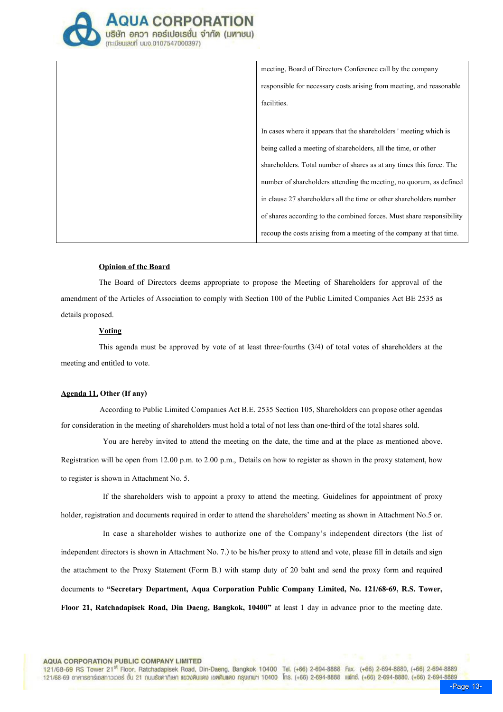

meeting, Board of Directors Conference call by the company responsible for necessary costs arising from meeting, and reasonable facilities. In cases where it appears that the shareholders ' meeting which is being called a meeting of shareholders, all the time, or other shareholders. Total number of shares as at any times this force. The number of shareholders attending the meeting, no quorum, as defined in clause 27 shareholders all the time or other shareholders number of shares according to the combined forces. Must share responsibility recoup the costs arising from a meeting of the company at that time.

#### Opinion of the Board

The Board of Directors deems appropriate to propose the Meeting of Shareholders for approval of the amendment of the Articles of Association to comply with Section 100 of the Public Limited Companies Act BE 2535 as details proposed.

### Voting

This agenda must be approved by vote of at least three-fourths (3/4) of total votes of shareholders at the meeting and entitled to vote.

## Agenda 11. Other (If any)

 According to Public Limited Companies Act B.E. 2535 Section 105, Shareholders can propose other agendas for consideration in the meeting of shareholders must hold a total of not less than one-third of the total shares sold.

You are hereby invited to attend the meeting on the date, the time and at the place as mentioned above. Registration will be open from 12.00 p.m. to 2.00 p.m., Details on how to register as shown in the proxy statement, how to register is shown in Attachment No. 5.

If the shareholders wish to appoint a proxy to attend the meeting. Guidelines for appointment of proxy holder, registration and documents required in order to attend the shareholders' meeting as shown in Attachment No.5 or.

In case a shareholder wishes to authorize one of the Company's independent directors (the list of independent directors is shown in Attachment No. 7.) to be his/her proxy to attend and vote, please fill in details and sign the attachment to the Proxy Statement (Form B.) with stamp duty of 20 baht and send the proxy form and required documents to "Secretary Department, Aqua Corporation Public Company Limited, No. 121/68-69, R.S. Tower, Floor 21, Ratchadapisek Road, Din Daeng, Bangkok, 10400" at least 1 day in advance prior to the meeting date.